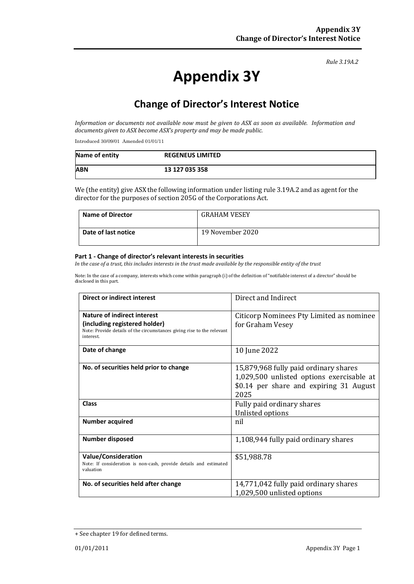#### *Rule 3.19A.2*

# **Appendix 3Y**

# **Change of Director's Interest Notice**

*Information or documents not available now must be given to ASX as soon as available. Information and documents given to ASX become ASX's property and may be made public.*

Introduced 30/09/01 Amended 01/01/11

| Name of entity | <b>REGENEUS LIMITED</b> |
|----------------|-------------------------|
| <b>ABN</b>     | 13 127 035 358          |

We (the entity) give ASX the following information under listing rule 3.19A.2 and as agent for the director for the purposes of section 205G of the Corporations Act.

| <b>Name of Director</b> | <b>GRAHAM VESEY</b> |
|-------------------------|---------------------|
| Date of last notice     | 19 November 2020    |

#### **Part 1 - Change of director's relevant interests in securities**

*In the case of a trust, this includes interests in the trust made available by the responsible entity of the trust*

Note: In the case of a company, interests which come within paragraph (i) of the definition of "notifiable interest of a director" should be disclosed in this part.

| <b>Direct or indirect interest</b>                                                                                                     | Direct and Indirect                                                                                                                   |  |
|----------------------------------------------------------------------------------------------------------------------------------------|---------------------------------------------------------------------------------------------------------------------------------------|--|
| Nature of indirect interest<br>(including registered holder)<br>Note: Provide details of the circumstances giving rise to the relevant | Citicorp Nominees Pty Limited as nominee<br>for Graham Vesey                                                                          |  |
| interest.                                                                                                                              |                                                                                                                                       |  |
| Date of change                                                                                                                         | 10 June 2022                                                                                                                          |  |
| No. of securities held prior to change                                                                                                 | 15,879,968 fully paid ordinary shares<br>1,029,500 unlisted options exercisable at<br>\$0.14 per share and expiring 31 August<br>2025 |  |
| Class                                                                                                                                  | Fully paid ordinary shares<br>Unlisted options                                                                                        |  |
| <b>Number acquired</b>                                                                                                                 | nil                                                                                                                                   |  |
| <b>Number disposed</b>                                                                                                                 | 1,108,944 fully paid ordinary shares                                                                                                  |  |
| <b>Value/Consideration</b><br>Note: If consideration is non-cash, provide details and estimated<br>valuation                           | \$51,988.78                                                                                                                           |  |
| No. of securities held after change                                                                                                    | 14,771,042 fully paid ordinary shares<br>1,029,500 unlisted options                                                                   |  |

<sup>+</sup> See chapter 19 for defined terms.